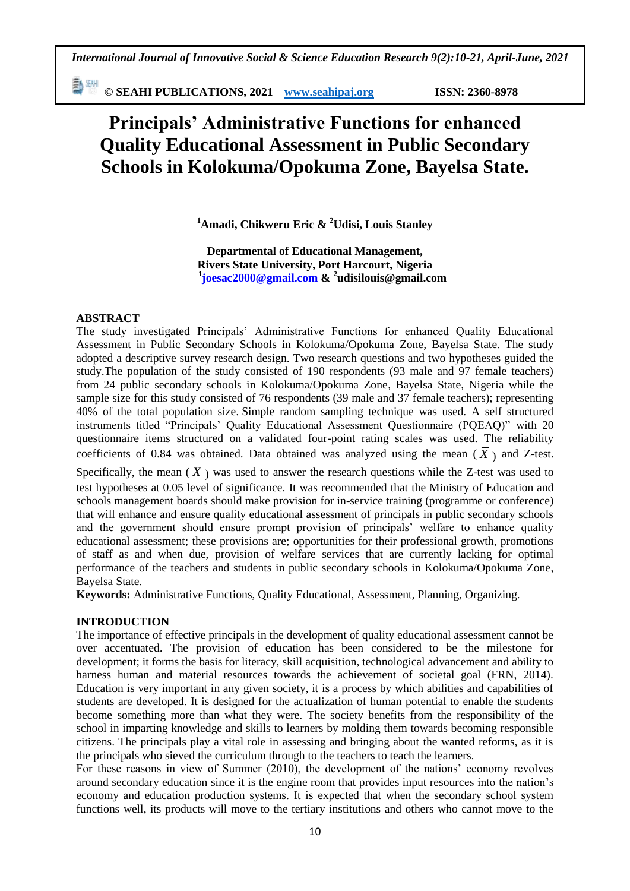勤卿 **© SEAHI PUBLICATIONS, 2021 [www.seahipaj.org](http://www.seahipaj.org/) ISSN: 2360-8978**

# **Principals' Administrative Functions for enhanced Quality Educational Assessment in Public Secondary Schools in Kolokuma/Opokuma Zone, Bayelsa State.**

**<sup>1</sup>Amadi, Chikweru Eric & <sup>2</sup>Udisi, Louis Stanley**

**Departmental of Educational Management, Rivers State University, Port Harcourt, Nigeria 1 [joesac2000@gmail.com](mailto:joesac2000@gmail.com) & 2 udisilouis@gmail.com**

#### **ABSTRACT**

The study investigated Principals" Administrative Functions for enhanced Quality Educational Assessment in Public Secondary Schools in Kolokuma/Opokuma Zone, Bayelsa State. The study adopted a descriptive survey research design. Two research questions and two hypotheses guided the study.The population of the study consisted of 190 respondents (93 male and 97 female teachers) from 24 public secondary schools in Kolokuma/Opokuma Zone, Bayelsa State, Nigeria while the sample size for this study consisted of 76 respondents (39 male and 37 female teachers); representing 40% of the total population size. Simple random sampling technique was used. A self structured instruments titled "Principals" Quality Educational Assessment Questionnaire (PQEAQ)" with 20 questionnaire items structured on a validated four-point rating scales was used. The reliability coefficients of 0.84 was obtained. Data obtained was analyzed using the mean  $(\overline{X})$  and Z-test. Specifically, the mean  $(\bar{X})$  was used to answer the research questions while the Z-test was used to test hypotheses at 0.05 level of significance. It was recommended that the Ministry of Education and schools management boards should make provision for in-service training (programme or conference) that will enhance and ensure quality educational assessment of principals in public secondary schools and the government should ensure prompt provision of principals' welfare to enhance quality educational assessment; these provisions are; opportunities for their professional growth, promotions of staff as and when due, provision of welfare services that are currently lacking for optimal

Bayelsa State.

performance of the teachers and students in public secondary schools in Kolokuma/Opokuma Zone,

**Keywords:** Administrative Functions, Quality Educational, Assessment, Planning, Organizing.

#### **INTRODUCTION**

The importance of effective principals in the development of quality educational assessment cannot be over accentuated. The provision of education has been considered to be the milestone for development; it forms the basis for literacy, skill acquisition, technological advancement and ability to harness human and material resources towards the achievement of societal goal (FRN, 2014). Education is very important in any given society, it is a process by which abilities and capabilities of students are developed. It is designed for the actualization of human potential to enable the students become something more than what they were. The society benefits from the responsibility of the school in imparting knowledge and skills to learners by molding them towards becoming responsible citizens. The principals play a vital role in assessing and bringing about the wanted reforms, as it is the principals who sieved the curriculum through to the teachers to teach the learners.

For these reasons in view of Summer (2010), the development of the nations" economy revolves around secondary education since it is the engine room that provides input resources into the nation"s economy and education production systems. It is expected that when the secondary school system functions well, its products will move to the tertiary institutions and others who cannot move to the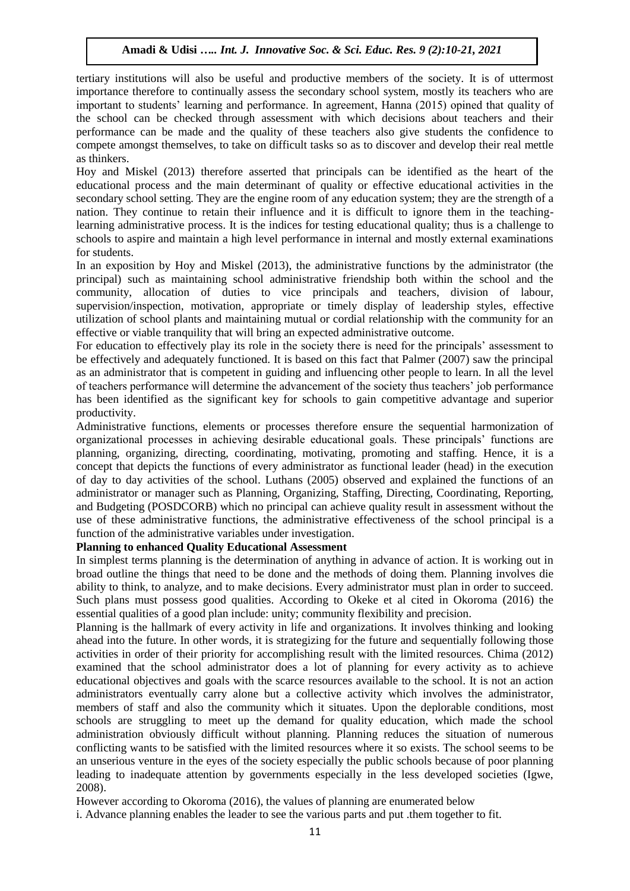tertiary institutions will also be useful and productive members of the society. It is of uttermost importance therefore to continually assess the secondary school system, mostly its teachers who are important to students" learning and performance. In agreement, Hanna (2015) opined that quality of the school can be checked through assessment with which decisions about teachers and their performance can be made and the quality of these teachers also give students the confidence to compete amongst themselves, to take on difficult tasks so as to discover and develop their real mettle as thinkers.

Hoy and Miskel (2013) therefore asserted that principals can be identified as the heart of the educational process and the main determinant of quality or effective educational activities in the secondary school setting. They are the engine room of any education system; they are the strength of a nation. They continue to retain their influence and it is difficult to ignore them in the teachinglearning administrative process. It is the indices for testing educational quality; thus is a challenge to schools to aspire and maintain a high level performance in internal and mostly external examinations for students.

In an exposition by Hoy and Miskel (2013), the administrative functions by the administrator (the principal) such as maintaining school administrative friendship both within the school and the community, allocation of duties to vice principals and teachers, division of labour, supervision/inspection, motivation, appropriate or timely display of leadership styles, effective utilization of school plants and maintaining mutual or cordial relationship with the community for an effective or viable tranquility that will bring an expected administrative outcome.

For education to effectively play its role in the society there is need for the principals' assessment to be effectively and adequately functioned. It is based on this fact that Palmer (2007) saw the principal as an administrator that is competent in guiding and influencing other people to learn. In all the level of teachers performance will determine the advancement of the society thus teachers" job performance has been identified as the significant key for schools to gain competitive advantage and superior productivity.

Administrative functions, elements or processes therefore ensure the sequential harmonization of organizational processes in achieving desirable educational goals. These principals" functions are planning, organizing, directing, coordinating, motivating, promoting and staffing. Hence, it is a concept that depicts the functions of every administrator as functional leader (head) in the execution of day to day activities of the school. Luthans (2005) observed and explained the functions of an administrator or manager such as Planning, Organizing, Staffing, Directing, Coordinating, Reporting, and Budgeting (POSDCORB) which no principal can achieve quality result in assessment without the use of these administrative functions, the administrative effectiveness of the school principal is a function of the administrative variables under investigation.

#### **Planning to enhanced Quality Educational Assessment**

In simplest terms planning is the determination of anything in advance of action. It is working out in broad outline the things that need to be done and the methods of doing them. Planning involves die ability to think, to analyze, and to make decisions. Every administrator must plan in order to succeed. Such plans must possess good qualities. According to Okeke et al cited in Okoroma (2016) the essential qualities of a good plan include: unity; community flexibility and precision.

Planning is the hallmark of every activity in life and organizations. It involves thinking and looking ahead into the future. In other words, it is strategizing for the future and sequentially following those activities in order of their priority for accomplishing result with the limited resources. Chima (2012) examined that the school administrator does a lot of planning for every activity as to achieve educational objectives and goals with the scarce resources available to the school. It is not an action administrators eventually carry alone but a collective activity which involves the administrator, members of staff and also the community which it situates. Upon the deplorable conditions, most schools are struggling to meet up the demand for quality education, which made the school administration obviously difficult without planning. Planning reduces the situation of numerous conflicting wants to be satisfied with the limited resources where it so exists. The school seems to be an unserious venture in the eyes of the society especially the public schools because of poor planning leading to inadequate attention by governments especially in the less developed societies (Igwe, 2008).

However according to Okoroma (2016), the values of planning are enumerated below

i. Advance planning enables the leader to see the various parts and put .them together to fit.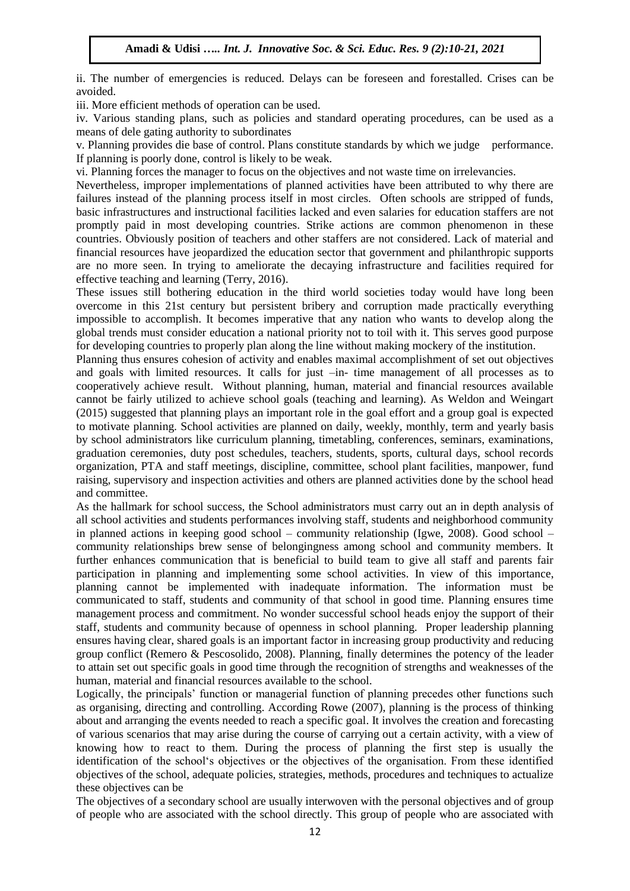ii. The number of emergencies is reduced. Delays can be foreseen and forestalled. Crises can be avoided.

iii. More efficient methods of operation can be used.

iv. Various standing plans, such as policies and standard operating procedures, can be used as a means of dele gating authority to subordinates

v. Planning provides die base of control. Plans constitute standards by which we judge performance. If planning is poorly done, control is likely to be weak.

vi. Planning forces the manager to focus on the objectives and not waste time on irrelevancies.

Nevertheless, improper implementations of planned activities have been attributed to why there are failures instead of the planning process itself in most circles. Often schools are stripped of funds, basic infrastructures and instructional facilities lacked and even salaries for education staffers are not promptly paid in most developing countries. Strike actions are common phenomenon in these countries. Obviously position of teachers and other staffers are not considered. Lack of material and financial resources have jeopardized the education sector that government and philanthropic supports are no more seen. In trying to ameliorate the decaying infrastructure and facilities required for effective teaching and learning (Terry, 2016).

These issues still bothering education in the third world societies today would have long been overcome in this 21st century but persistent bribery and corruption made practically everything impossible to accomplish. It becomes imperative that any nation who wants to develop along the global trends must consider education a national priority not to toil with it. This serves good purpose for developing countries to properly plan along the line without making mockery of the institution.

Planning thus ensures cohesion of activity and enables maximal accomplishment of set out objectives and goals with limited resources. It calls for just –in- time management of all processes as to cooperatively achieve result. Without planning, human, material and financial resources available cannot be fairly utilized to achieve school goals (teaching and learning). As Weldon and Weingart (2015) suggested that planning plays an important role in the goal effort and a group goal is expected to motivate planning. School activities are planned on daily, weekly, monthly, term and yearly basis by school administrators like curriculum planning, timetabling, conferences, seminars, examinations, graduation ceremonies, duty post schedules, teachers, students, sports, cultural days, school records organization, PTA and staff meetings, discipline, committee, school plant facilities, manpower, fund raising, supervisory and inspection activities and others are planned activities done by the school head and committee.

As the hallmark for school success, the School administrators must carry out an in depth analysis of all school activities and students performances involving staff, students and neighborhood community in planned actions in keeping good school – community relationship (Igwe, 2008). Good school – community relationships brew sense of belongingness among school and community members. It further enhances communication that is beneficial to build team to give all staff and parents fair participation in planning and implementing some school activities. In view of this importance, planning cannot be implemented with inadequate information. The information must be communicated to staff, students and community of that school in good time. Planning ensures time management process and commitment. No wonder successful school heads enjoy the support of their staff, students and community because of openness in school planning. Proper leadership planning ensures having clear, shared goals is an important factor in increasing group productivity and reducing group conflict (Remero & Pescosolido, 2008). Planning, finally determines the potency of the leader to attain set out specific goals in good time through the recognition of strengths and weaknesses of the human, material and financial resources available to the school.

Logically, the principals' function or managerial function of planning precedes other functions such as organising, directing and controlling. According Rowe (2007), planning is the process of thinking about and arranging the events needed to reach a specific goal. It involves the creation and forecasting of various scenarios that may arise during the course of carrying out a certain activity, with a view of knowing how to react to them. During the process of planning the first step is usually the identification of the school"s objectives or the objectives of the organisation. From these identified objectives of the school, adequate policies, strategies, methods, procedures and techniques to actualize these objectives can be

The objectives of a secondary school are usually interwoven with the personal objectives and of group of people who are associated with the school directly. This group of people who are associated with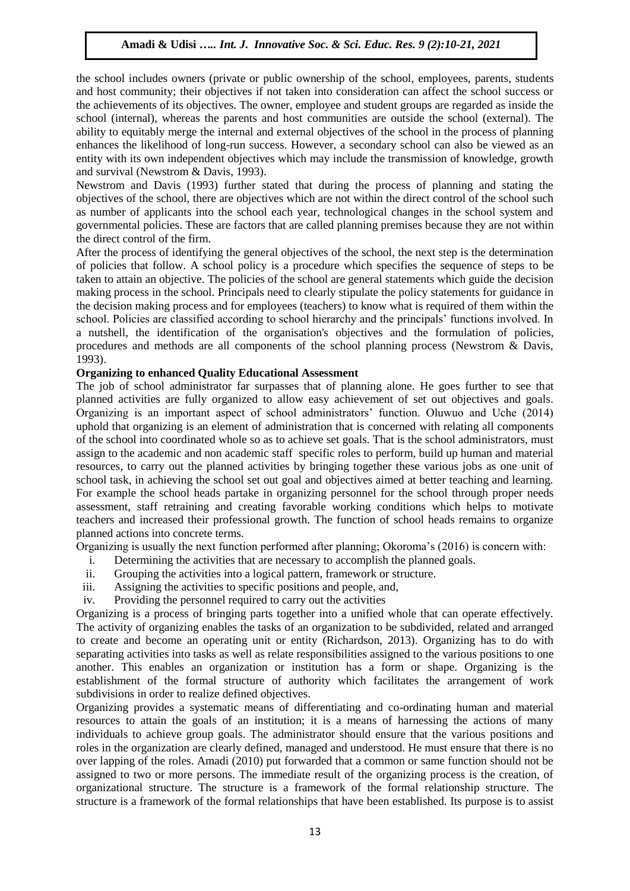the school includes owners (private or public ownership of the school, employees, parents, students and host community; their objectives if not taken into consideration can affect the school success or the achievements of its objectives. The owner, employee and student groups are regarded as inside the school (internal), whereas the parents and host communities are outside the school (external). The ability to equitably merge the internal and external objectives of the school in the process of planning enhances the likelihood of long-run success. However, a secondary school can also be viewed as an entity with its own independent objectives which may include the transmission of knowledge, growth and survival (Newstrom & Davis, 1993).

Newstrom and Davis (1993) further stated that during the process of planning and stating the objectives of the school, there are objectives which are not within the direct control of the school such as number of applicants into the school each year, technological changes in the school system and governmental policies. These are factors that are called planning premises because they are not within the direct control of the firm.

After the process of identifying the general objectives of the school, the next step is the determination of policies that follow. A school policy is a procedure which specifies the sequence of steps to be taken to attain an objective. The policies of the school are general statements which guide the decision making process in the school. Principals need to clearly stipulate the policy statements for guidance in the decision making process and for employees (teachers) to know what is required of them within the school. Policies are classified according to school hierarchy and the principals" functions involved. In a nutshell, the identification of the organisation's objectives and the formulation of policies, procedures and methods are all components of the school planning process (Newstrom & Davis, 1993).

# **Organizing to enhanced Quality Educational Assessment**

The job of school administrator far surpasses that of planning alone. He goes further to see that planned activities are fully organized to allow easy achievement of set out objectives and goals. Organizing is an important aspect of school administrators" function. Oluwuo and Uche (2014) uphold that organizing is an element of administration that is concerned with relating all components of the school into coordinated whole so as to achieve set goals. That is the school administrators, must assign to the academic and non academic staff specific roles to perform, build up human and material resources, to carry out the planned activities by bringing together these various jobs as one unit of school task, in achieving the school set out goal and objectives aimed at better teaching and learning. For example the school heads partake in organizing personnel for the school through proper needs assessment, staff retraining and creating favorable working conditions which helps to motivate teachers and increased their professional growth. The function of school heads remains to organize planned actions into concrete terms.

Organizing is usually the next function performed after planning; Okoroma"s (2016) is concern with:

- i. Determining the activities that are necessary to accomplish the planned goals.
- ii. Grouping the activities into a logical pattern, framework or structure.
- iii. Assigning the activities to specific positions and people, and,
- iv. Providing the personnel required to carry out the activities

Organizing is a process of bringing parts together into a unified whole that can operate effectively. The activity of organizing enables the tasks of an organization to be subdivided, related and arranged to create and become an operating unit or entity (Richardson, 2013). Organizing has to do with separating activities into tasks as well as relate responsibilities assigned to the various positions to one another. This enables an organization or institution has a form or shape. Organizing is the establishment of the formal structure of authority which facilitates the arrangement of work subdivisions in order to realize defined objectives.

Organizing provides a systematic means of differentiating and co-ordinating human and material resources to attain the goals of an institution; it is a means of harnessing the actions of many individuals to achieve group goals. The administrator should ensure that the various positions and roles in the organization are clearly defined, managed and understood. He must ensure that there is no over lapping of the roles. Amadi (2010) put forwarded that a common or same function should not be assigned to two or more persons. The immediate result of the organizing process is the creation, of organizational structure. The structure is a framework of the formal relationship structure. The structure is a framework of the formal relationships that have been established. Its purpose is to assist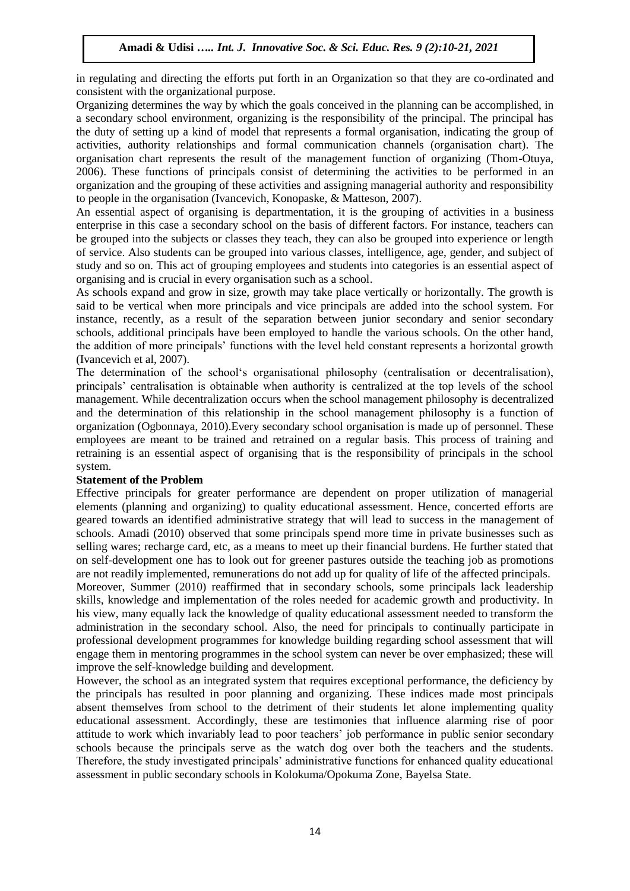in regulating and directing the efforts put forth in an Organization so that they are co-ordinated and consistent with the organizational purpose.

Organizing determines the way by which the goals conceived in the planning can be accomplished, in a secondary school environment, organizing is the responsibility of the principal. The principal has the duty of setting up a kind of model that represents a formal organisation, indicating the group of activities, authority relationships and formal communication channels (organisation chart). The organisation chart represents the result of the management function of organizing (Thom-Otuya, 2006). These functions of principals consist of determining the activities to be performed in an organization and the grouping of these activities and assigning managerial authority and responsibility to people in the organisation (Ivancevich, Konopaske, & Matteson, 2007).

An essential aspect of organising is departmentation, it is the grouping of activities in a business enterprise in this case a secondary school on the basis of different factors. For instance, teachers can be grouped into the subjects or classes they teach, they can also be grouped into experience or length of service. Also students can be grouped into various classes, intelligence, age, gender, and subject of study and so on. This act of grouping employees and students into categories is an essential aspect of organising and is crucial in every organisation such as a school.

As schools expand and grow in size, growth may take place vertically or horizontally. The growth is said to be vertical when more principals and vice principals are added into the school system. For instance, recently, as a result of the separation between junior secondary and senior secondary schools, additional principals have been employed to handle the various schools. On the other hand, the addition of more principals" functions with the level held constant represents a horizontal growth (Ivancevich et al, 2007).

The determination of the school"s organisational philosophy (centralisation or decentralisation), principals" centralisation is obtainable when authority is centralized at the top levels of the school management. While decentralization occurs when the school management philosophy is decentralized and the determination of this relationship in the school management philosophy is a function of organization (Ogbonnaya, 2010).Every secondary school organisation is made up of personnel. These employees are meant to be trained and retrained on a regular basis. This process of training and retraining is an essential aspect of organising that is the responsibility of principals in the school system.

#### **Statement of the Problem**

Effective principals for greater performance are dependent on proper utilization of managerial elements (planning and organizing) to quality educational assessment. Hence, concerted efforts are geared towards an identified administrative strategy that will lead to success in the management of schools. Amadi (2010) observed that some principals spend more time in private businesses such as selling wares; recharge card, etc, as a means to meet up their financial burdens. He further stated that on self-development one has to look out for greener pastures outside the teaching job as promotions are not readily implemented, remunerations do not add up for quality of life of the affected principals. Moreover, Summer (2010) reaffirmed that in secondary schools, some principals lack leadership skills, knowledge and implementation of the roles needed for academic growth and productivity. In his view, many equally lack the knowledge of quality educational assessment needed to transform the administration in the secondary school. Also, the need for principals to continually participate in professional development programmes for knowledge building regarding school assessment that will engage them in mentoring programmes in the school system can never be over emphasized; these will improve the self-knowledge building and development.

However, the school as an integrated system that requires exceptional performance, the deficiency by the principals has resulted in poor planning and organizing. These indices made most principals absent themselves from school to the detriment of their students let alone implementing quality educational assessment. Accordingly, these are testimonies that influence alarming rise of poor attitude to work which invariably lead to poor teachers' job performance in public senior secondary schools because the principals serve as the watch dog over both the teachers and the students. Therefore, the study investigated principals" administrative functions for enhanced quality educational assessment in public secondary schools in Kolokuma/Opokuma Zone, Bayelsa State.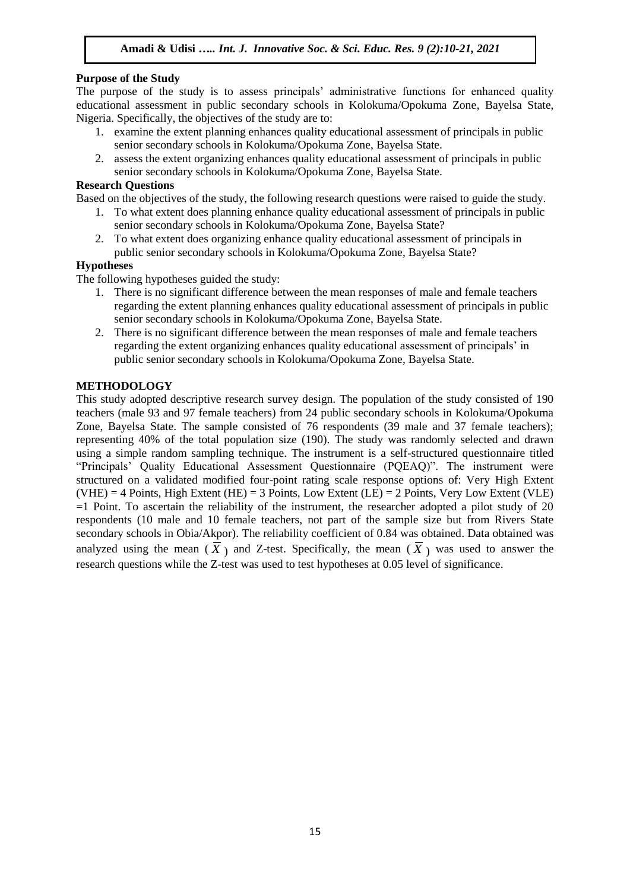# **Purpose of the Study**

The purpose of the study is to assess principals" administrative functions for enhanced quality educational assessment in public secondary schools in Kolokuma/Opokuma Zone, Bayelsa State, Nigeria. Specifically, the objectives of the study are to:

- 1. examine the extent planning enhances quality educational assessment of principals in public senior secondary schools in Kolokuma/Opokuma Zone, Bayelsa State.
- 2. assess the extent organizing enhances quality educational assessment of principals in public senior secondary schools in Kolokuma/Opokuma Zone, Bayelsa State.

# **Research Questions**

Based on the objectives of the study, the following research questions were raised to guide the study.

- 1. To what extent does planning enhance quality educational assessment of principals in public senior secondary schools in Kolokuma/Opokuma Zone, Bayelsa State?
- 2. To what extent does organizing enhance quality educational assessment of principals in public senior secondary schools in Kolokuma/Opokuma Zone, Bayelsa State?

#### **Hypotheses**

The following hypotheses guided the study:

- 1. There is no significant difference between the mean responses of male and female teachers regarding the extent planning enhances quality educational assessment of principals in public senior secondary schools in Kolokuma/Opokuma Zone, Bayelsa State.
- 2. There is no significant difference between the mean responses of male and female teachers regarding the extent organizing enhances quality educational assessment of principals" in public senior secondary schools in Kolokuma/Opokuma Zone, Bayelsa State.

#### **METHODOLOGY**

This study adopted descriptive research survey design. The population of the study consisted of 190 teachers (male 93 and 97 female teachers) from 24 public secondary schools in Kolokuma/Opokuma Zone, Bayelsa State. The sample consisted of 76 respondents (39 male and 37 female teachers); representing 40% of the total population size (190). The study was randomly selected and drawn using a simple random sampling technique. The instrument is a self-structured questionnaire titled "Principals" Quality Educational Assessment Questionnaire (PQEAQ)". The instrument were structured on a validated modified four-point rating scale response options of: Very High Extent  $(VHE) = 4$  Points, High Extent (HE) = 3 Points, Low Extent (LE) = 2 Points, Very Low Extent (VLE)  $=1$  Point. To ascertain the reliability of the instrument, the researcher adopted a pilot study of 20 respondents (10 male and 10 female teachers, not part of the sample size but from Rivers State secondary schools in Obia/Akpor). The reliability coefficient of 0.84 was obtained. Data obtained was analyzed using the mean  $(\bar{X})$  and Z-test. Specifically, the mean  $(\bar{X})$  was used to answer the research questions while the Z-test was used to test hypotheses at 0.05 level of significance.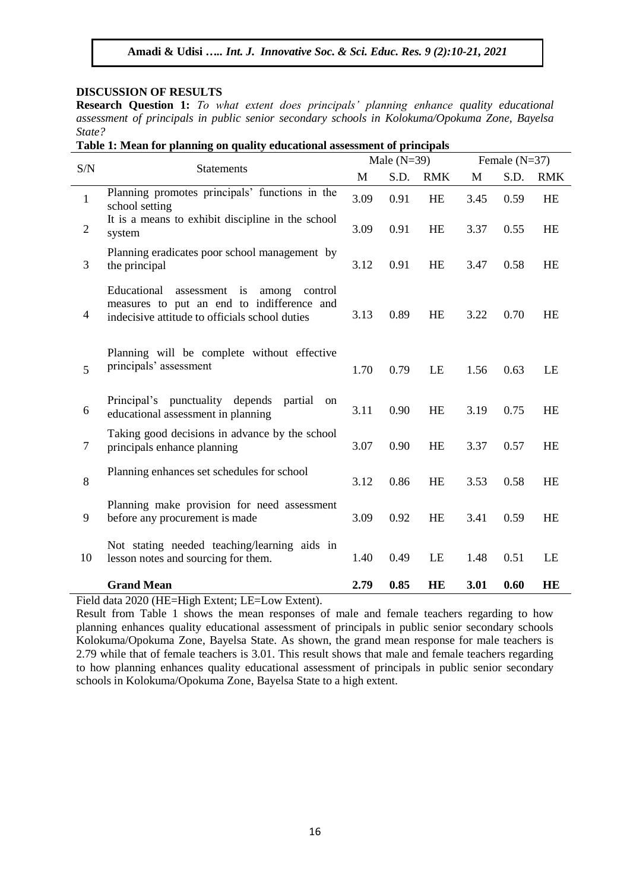#### **DISCUSSION OF RESULTS**

**Research Question 1:** *To what extent does principals' planning enhance quality educational assessment of principals in public senior secondary schools in Kolokuma/Opokuma Zone, Bayelsa State?*

**Table 1: Mean for planning on quality educational assessment of principals**

| S/N                      |                                                                                                                                                  | Male $(N=39)$ |      |            |      | Female $(N=37)$ |            |  |
|--------------------------|--------------------------------------------------------------------------------------------------------------------------------------------------|---------------|------|------------|------|-----------------|------------|--|
|                          | <b>Statements</b>                                                                                                                                |               | S.D. | <b>RMK</b> | M    | S.D.            | <b>RMK</b> |  |
| $\mathbf{1}$             | Planning promotes principals' functions in the<br>school setting                                                                                 | 3.09          | 0.91 | HE         | 3.45 | 0.59            | <b>HE</b>  |  |
| $\sqrt{2}$               | It is a means to exhibit discipline in the school<br>system                                                                                      | 3.09          | 0.91 | HE         | 3.37 | 0.55            | <b>HE</b>  |  |
| 3                        | Planning eradicates poor school management by<br>the principal                                                                                   | 3.12          | 0.91 | HE         | 3.47 | 0.58            | <b>HE</b>  |  |
| $\overline{\mathcal{A}}$ | Educational<br>assessment is<br>among<br>control<br>measures to put an end to indifference and<br>indecisive attitude to officials school duties | 3.13          | 0.89 | HE         | 3.22 | 0.70            | <b>HE</b>  |  |
| 5                        | Planning will be complete without effective<br>principals' assessment                                                                            |               | 0.79 | LE         | 1.56 | 0.63            | LE         |  |
| 6                        | Principal's punctuality depends<br>partial on<br>educational assessment in planning                                                              | 3.11          | 0.90 | <b>HE</b>  | 3.19 | 0.75            | <b>HE</b>  |  |
| 7                        | Taking good decisions in advance by the school<br>principals enhance planning                                                                    | 3.07          | 0.90 | <b>HE</b>  | 3.37 | 0.57            | <b>HE</b>  |  |
| $\,8\,$                  | Planning enhances set schedules for school                                                                                                       | 3.12          | 0.86 | HE         | 3.53 | 0.58            | <b>HE</b>  |  |
| 9                        | Planning make provision for need assessment<br>before any procurement is made                                                                    | 3.09          | 0.92 | HE         | 3.41 | 0.59            | <b>HE</b>  |  |
| 10                       | Not stating needed teaching/learning aids in<br>lesson notes and sourcing for them.                                                              |               | 0.49 | LE         | 1.48 | 0.51            | LE         |  |
|                          | <b>Grand Mean</b>                                                                                                                                | 2.79          | 0.85 | HE         | 3.01 | 0.60            | <b>HE</b>  |  |

Field data 2020 (HE=High Extent; LE=Low Extent).

Result from Table 1 shows the mean responses of male and female teachers regarding to how planning enhances quality educational assessment of principals in public senior secondary schools Kolokuma/Opokuma Zone, Bayelsa State. As shown, the grand mean response for male teachers is 2.79 while that of female teachers is 3.01. This result shows that male and female teachers regarding to how planning enhances quality educational assessment of principals in public senior secondary schools in Kolokuma/Opokuma Zone, Bayelsa State to a high extent.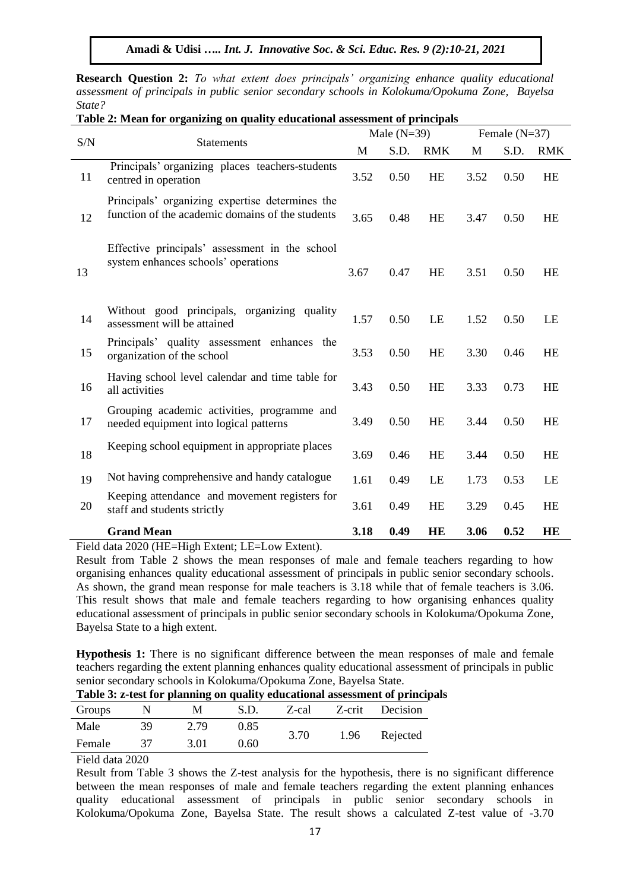**Research Question 2:** *To what extent does principals' organizing enhance quality educational assessment of principals in public senior secondary schools in Kolokuma/Opokuma Zone, Bayelsa State?*

| Table 2: Mean for organizing on quality educational assessment of principals |                                                                                                                    |               |      |            |                 |      |            |  |
|------------------------------------------------------------------------------|--------------------------------------------------------------------------------------------------------------------|---------------|------|------------|-----------------|------|------------|--|
| S/N                                                                          | <b>Statements</b>                                                                                                  | Male $(N=39)$ |      |            | Female $(N=37)$ |      |            |  |
|                                                                              |                                                                                                                    |               | S.D. | <b>RMK</b> | M               | S.D. | <b>RMK</b> |  |
| 11                                                                           | Principals' organizing places teachers-students<br>centred in operation                                            | 3.52          | 0.50 | HE         | 3.52            | 0.50 | HE         |  |
| 12                                                                           | Principals' organizing expertise determines the<br>function of the academic domains of the students                | 3.65          | 0.48 | <b>HE</b>  | 3.47            | 0.50 | HE         |  |
| 13                                                                           | Effective principals' assessment in the school<br>system enhances schools' operations                              | 3.67          | 0.47 | HE         | 3.51            | 0.50 | HE         |  |
| 14                                                                           | Without good principals, organizing quality<br>assessment will be attained                                         | 1.57          | 0.50 | LE         | 1.52            | 0.50 | LE         |  |
| 15                                                                           | Principals' quality assessment enhances the<br>organization of the school                                          | 3.53          | 0.50 | HE         | 3.30            | 0.46 | <b>HE</b>  |  |
| 16                                                                           | Having school level calendar and time table for<br>all activities                                                  | 3.43          | 0.50 | HE         | 3.33            | 0.73 | <b>HE</b>  |  |
| 17                                                                           | Grouping academic activities, programme and<br>needed equipment into logical patterns                              | 3.49          | 0.50 | <b>HE</b>  | 3.44            | 0.50 | <b>HE</b>  |  |
| 18                                                                           | Keeping school equipment in appropriate places                                                                     | 3.69          | 0.46 | HE         | 3.44            | 0.50 | HE         |  |
| 19                                                                           | Not having comprehensive and handy catalogue                                                                       | 1.61          | 0.49 | LE         | 1.73            | 0.53 | LE         |  |
| 20                                                                           | Keeping attendance and movement registers for<br>staff and students strictly                                       | 3.61          | 0.49 | HE         | 3.29            | 0.45 | <b>HE</b>  |  |
|                                                                              | <b>Grand Mean</b><br>$2020$ (III) III 1 $\blacksquare$<br>$\mathbf{v}$ $\mathbf{v}$ $\mathbf{v}$<br>$\blacksquare$ | 3.18          | 0.49 | HE         | 3.06            | 0.52 | HE         |  |

**Table 2: Mean for organizing on quality educational assessment of principals**

Field data 2020 (HE=High Extent; LE=Low Extent).

Result from Table 2 shows the mean responses of male and female teachers regarding to how organising enhances quality educational assessment of principals in public senior secondary schools. As shown, the grand mean response for male teachers is 3.18 while that of female teachers is 3.06. This result shows that male and female teachers regarding to how organising enhances quality educational assessment of principals in public senior secondary schools in Kolokuma/Opokuma Zone, Bayelsa State to a high extent.

**Hypothesis 1:** There is no significant difference between the mean responses of male and female teachers regarding the extent planning enhances quality educational assessment of principals in public senior secondary schools in Kolokuma/Opokuma Zone, Bayelsa State.

|                |     | <b>Table 5: 2-test for planning on quanty equivalental assessment of princip</b> |      |      |      |                       |  |
|----------------|-----|----------------------------------------------------------------------------------|------|------|------|-----------------------|--|
| Groups         | - N | M                                                                                | S.D. |      |      | Z-cal Z-crit Decision |  |
| Male           | 39  | 2.79                                                                             | 0.85 | 3.70 | 1.96 |                       |  |
| Female         | -37 | 3.01                                                                             | 0.60 |      |      | Rejected              |  |
| $\blacksquare$ |     |                                                                                  |      |      |      |                       |  |

**Table 3: z-test for planning on quality educational assessment of principals**

Field data 2020

Result from Table 3 shows the Z-test analysis for the hypothesis, there is no significant difference between the mean responses of male and female teachers regarding the extent planning enhances quality educational assessment of principals in public senior secondary schools in Kolokuma/Opokuma Zone, Bayelsa State. The result shows a calculated Z-test value of -3.70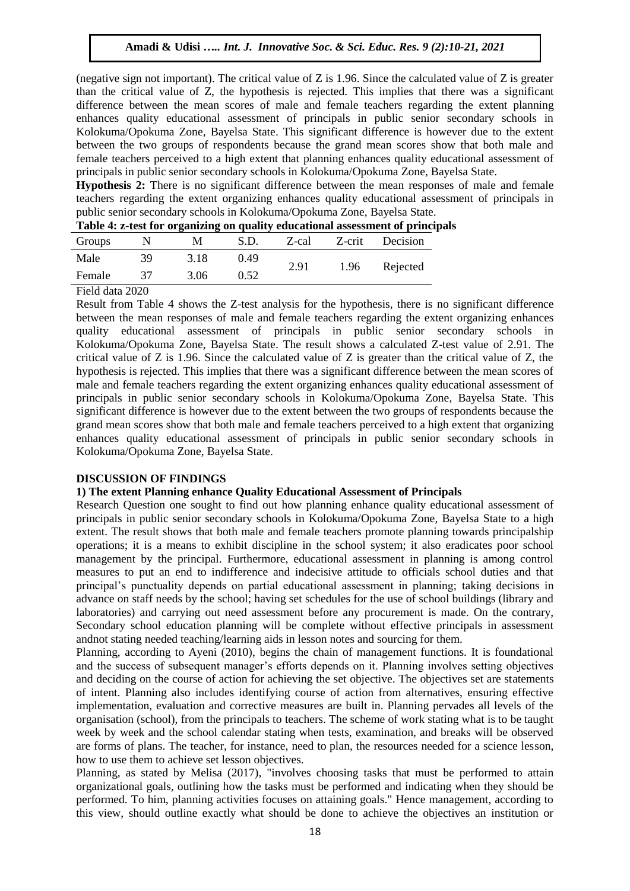(negative sign not important). The critical value of  $Z$  is 1.96. Since the calculated value of  $Z$  is greater than the critical value of Z, the hypothesis is rejected. This implies that there was a significant difference between the mean scores of male and female teachers regarding the extent planning enhances quality educational assessment of principals in public senior secondary schools in Kolokuma/Opokuma Zone, Bayelsa State. This significant difference is however due to the extent between the two groups of respondents because the grand mean scores show that both male and female teachers perceived to a high extent that planning enhances quality educational assessment of principals in public senior secondary schools in Kolokuma/Opokuma Zone, Bayelsa State.

**Hypothesis 2:** There is no significant difference between the mean responses of male and female teachers regarding the extent organizing enhances quality educational assessment of principals in public senior secondary schools in Kolokuma/Opokuma Zone, Bayelsa State.

| Groups         |    | M    | S.D. | Z-cal | Z-crit | Decision |  |
|----------------|----|------|------|-------|--------|----------|--|
| Male           | 39 | 3.18 | 0.49 | 2.91  | 1.96   |          |  |
| Female         | 37 | 3.06 | 0.52 |       |        | Rejected |  |
| $\blacksquare$ |    |      |      |       |        |          |  |

**Table 4: z-test for organizing on quality educational assessment of principals**

Field data 2020

Result from Table 4 shows the Z-test analysis for the hypothesis, there is no significant difference between the mean responses of male and female teachers regarding the extent organizing enhances quality educational assessment of principals in public senior secondary schools in Kolokuma/Opokuma Zone, Bayelsa State. The result shows a calculated Z-test value of 2.91. The critical value of Z is 1.96. Since the calculated value of Z is greater than the critical value of Z, the hypothesis is rejected. This implies that there was a significant difference between the mean scores of male and female teachers regarding the extent organizing enhances quality educational assessment of principals in public senior secondary schools in Kolokuma/Opokuma Zone, Bayelsa State. This significant difference is however due to the extent between the two groups of respondents because the grand mean scores show that both male and female teachers perceived to a high extent that organizing enhances quality educational assessment of principals in public senior secondary schools in Kolokuma/Opokuma Zone, Bayelsa State.

#### **DISCUSSION OF FINDINGS**

# **1) The extent Planning enhance Quality Educational Assessment of Principals**

Research Question one sought to find out how planning enhance quality educational assessment of principals in public senior secondary schools in Kolokuma/Opokuma Zone, Bayelsa State to a high extent. The result shows that both male and female teachers promote planning towards principalship operations; it is a means to exhibit discipline in the school system; it also eradicates poor school management by the principal. Furthermore, educational assessment in planning is among control measures to put an end to indifference and indecisive attitude to officials school duties and that principal"s punctuality depends on partial educational assessment in planning; taking decisions in advance on staff needs by the school; having set schedules for the use of school buildings (library and laboratories) and carrying out need assessment before any procurement is made. On the contrary, Secondary school education planning will be complete without effective principals in assessment andnot stating needed teaching/learning aids in lesson notes and sourcing for them.

Planning, according to Ayeni (2010), begins the chain of management functions. It is foundational and the success of subsequent manager"s efforts depends on it. Planning involves setting objectives and deciding on the course of action for achieving the set objective. The objectives set are statements of intent. Planning also includes identifying course of action from alternatives, ensuring effective implementation, evaluation and corrective measures are built in. Planning pervades all levels of the organisation (school), from the principals to teachers. The scheme of work stating what is to be taught week by week and the school calendar stating when tests, examination, and breaks will be observed are forms of plans. The teacher, for instance, need to plan, the resources needed for a science lesson, how to use them to achieve set lesson objectives.

Planning, as stated by Melisa (2017), "involves choosing tasks that must be performed to attain organizational goals, outlining how the tasks must be performed and indicating when they should be performed. To him, planning activities focuses on attaining goals." Hence management, according to this view, should outline exactly what should be done to achieve the objectives an institution or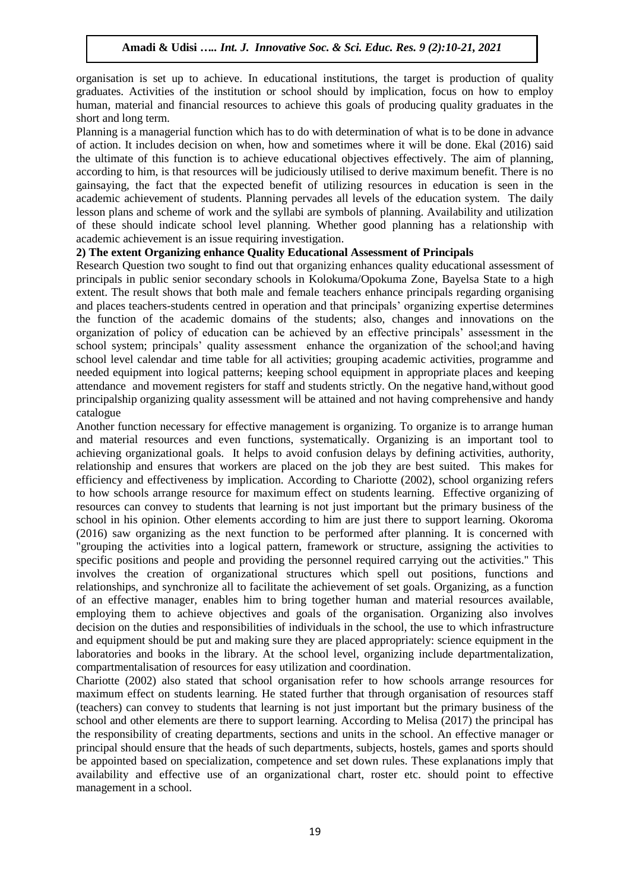organisation is set up to achieve. In educational institutions, the target is production of quality graduates. Activities of the institution or school should by implication, focus on how to employ human, material and financial resources to achieve this goals of producing quality graduates in the short and long term.

Planning is a managerial function which has to do with determination of what is to be done in advance of action. It includes decision on when, how and sometimes where it will be done. Ekal (2016) said the ultimate of this function is to achieve educational objectives effectively. The aim of planning, according to him, is that resources will be judiciously utilised to derive maximum benefit. There is no gainsaying, the fact that the expected benefit of utilizing resources in education is seen in the academic achievement of students. Planning pervades all levels of the education system. The daily lesson plans and scheme of work and the syllabi are symbols of planning. Availability and utilization of these should indicate school level planning. Whether good planning has a relationship with academic achievement is an issue requiring investigation.

#### **2) The extent Organizing enhance Quality Educational Assessment of Principals**

Research Question two sought to find out that organizing enhances quality educational assessment of principals in public senior secondary schools in Kolokuma/Opokuma Zone, Bayelsa State to a high extent. The result shows that both male and female teachers enhance principals regarding organising and places teachers-students centred in operation and that principals" organizing expertise determines the function of the academic domains of the students; also, changes and innovations on the organization of policy of education can be achieved by an effective principals" assessment in the school system; principals' quality assessment enhance the organization of the school; and having school level calendar and time table for all activities; grouping academic activities, programme and needed equipment into logical patterns; keeping school equipment in appropriate places and keeping attendance and movement registers for staff and students strictly. On the negative hand,without good principalship organizing quality assessment will be attained and not having comprehensive and handy catalogue

Another function necessary for effective management is organizing. To organize is to arrange human and material resources and even functions, systematically. Organizing is an important tool to achieving organizational goals. It helps to avoid confusion delays by defining activities, authority, relationship and ensures that workers are placed on the job they are best suited. This makes for efficiency and effectiveness by implication. According to Chariotte (2002), school organizing refers to how schools arrange resource for maximum effect on students learning. Effective organizing of resources can convey to students that learning is not just important but the primary business of the school in his opinion. Other elements according to him are just there to support learning. Okoroma (2016) saw organizing as the next function to be performed after planning. It is concerned with "grouping the activities into a logical pattern, framework or structure, assigning the activities to specific positions and people and providing the personnel required carrying out the activities." This involves the creation of organizational structures which spell out positions, functions and relationships, and synchronize all to facilitate the achievement of set goals. Organizing, as a function of an effective manager, enables him to bring together human and material resources available, employing them to achieve objectives and goals of the organisation. Organizing also involves decision on the duties and responsibilities of individuals in the school, the use to which infrastructure and equipment should be put and making sure they are placed appropriately: science equipment in the laboratories and books in the library. At the school level, organizing include departmentalization, compartmentalisation of resources for easy utilization and coordination.

Chariotte (2002) also stated that school organisation refer to how schools arrange resources for maximum effect on students learning. He stated further that through organisation of resources staff (teachers) can convey to students that learning is not just important but the primary business of the school and other elements are there to support learning. According to Melisa (2017) the principal has the responsibility of creating departments, sections and units in the school. An effective manager or principal should ensure that the heads of such departments, subjects, hostels, games and sports should be appointed based on specialization, competence and set down rules. These explanations imply that availability and effective use of an organizational chart, roster etc. should point to effective management in a school.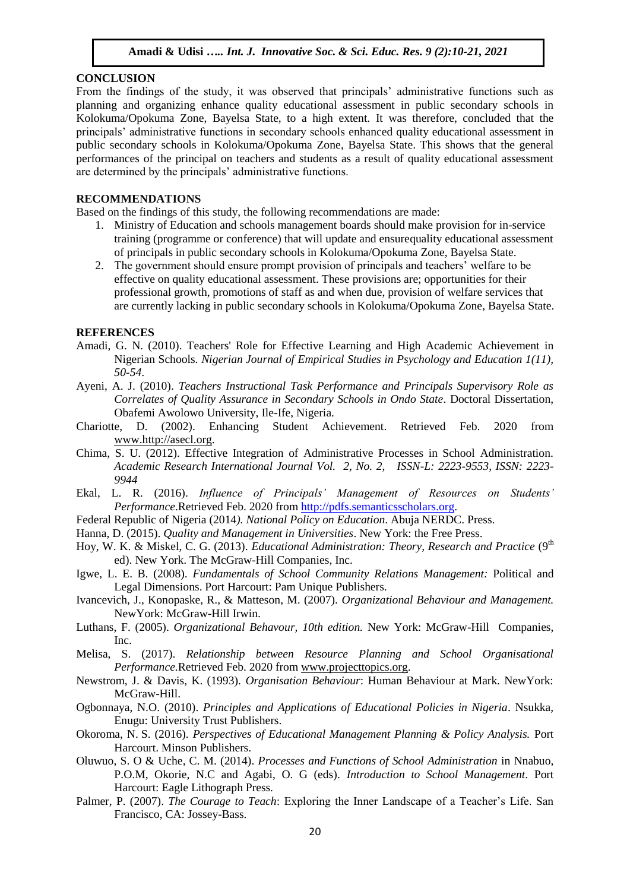#### **CONCLUSION**

From the findings of the study, it was observed that principals" administrative functions such as planning and organizing enhance quality educational assessment in public secondary schools in Kolokuma/Opokuma Zone, Bayelsa State, to a high extent. It was therefore, concluded that the principals" administrative functions in secondary schools enhanced quality educational assessment in public secondary schools in Kolokuma/Opokuma Zone, Bayelsa State. This shows that the general performances of the principal on teachers and students as a result of quality educational assessment are determined by the principals" administrative functions.

#### **RECOMMENDATIONS**

Based on the findings of this study, the following recommendations are made:

- 1. Ministry of Education and schools management boards should make provision for in-service training (programme or conference) that will update and ensurequality educational assessment of principals in public secondary schools in Kolokuma/Opokuma Zone, Bayelsa State.
- 2. The government should ensure prompt provision of principals and teachers" welfare to be effective on quality educational assessment. These provisions are; opportunities for their professional growth, promotions of staff as and when due, provision of welfare services that are currently lacking in public secondary schools in Kolokuma/Opokuma Zone, Bayelsa State.

#### **REFERENCES**

- Amadi, G. N. (2010). Teachers' Role for Effective Learning and High Academic Achievement in Nigerian Schools. *Nigerian Journal of Empirical Studies in Psychology and Education 1(11), 50-54*.
- Ayeni, A. J. (2010). *Teachers Instructional Task Performance and Principals Supervisory Role as Correlates of Quality Assurance in Secondary Schools in Ondo State*. Doctoral Dissertation, Obafemi Awolowo University, Ile-Ife, Nigeria.
- Chariotte, D. (2002). Enhancing Student Achievement. Retrieved Feb. 2020 from [www.http://asecl.org.](http://www.http/asecl.org)
- Chima, S. U. (2012). Effective Integration of Administrative Processes in School Administration. *Academic Research International Journal Vol. 2, No. 2, ISSN-L: 2223-9553, ISSN: 2223- 9944*
- Ekal, L. R. (2016). *Influence of Principals' Management of Resources on Students' Performance*.Retrieved Feb. 2020 from [http://pdfs.semanticsscholars.org.](http://pdfs.semanticsscholars.org/)
- Federal Republic of Nigeria (2014*). National Policy on Education*. Abuja NERDC. Press.
- Hanna, D. (2015). *Quality and Management in Universities*. New York: the Free Press.
- Hoy, W. K. & Miskel, C. G. (2013). *Educational Administration: Theory, Research and Practice* (9<sup>th</sup> ed). New York. The McGraw-Hill Companies, Inc.
- Igwe, L. E. B. (2008). *Fundamentals of School Community Relations Management:* Political and Legal Dimensions. Port Harcourt: Pam Unique Publishers.
- Ivancevich, J., Konopaske, R., & Matteson, M. (2007). *Organizational Behaviour and Management.* NewYork: McGraw-Hill Irwin.
- Luthans, F. (2005). *Organizational Behavour, 10th edition.* New York: McGraw-Hill Companies, Inc.
- Melisa, S. (2017). *Relationship between Resource Planning and School Organisational Performance.*Retrieved Feb. 2020 from [www.projecttopics.org.](http://www.projecttopics.org/)
- Newstrom, J. & Davis, K. (1993). *Organisation Behaviour*: Human Behaviour at Mark. NewYork: McGraw-Hill.
- Ogbonnaya, N.O. (2010). *Principles and Applications of Educational Policies in Nigeria*. Nsukka, Enugu: University Trust Publishers.
- Okoroma, N. S. (2016). *Perspectives of Educational Management Planning & Policy Analysis.* Port Harcourt. Minson Publishers.
- Oluwuo, S. O & Uche, C. M. (2014). *Processes and Functions of School Administration* in Nnabuo, P.O.M, Okorie, N.C and Agabi, O. G (eds). *Introduction to School Management*. Port Harcourt: Eagle Lithograph Press.
- Palmer, P. (2007). *The Courage to Teach*: Exploring the Inner Landscape of a Teacher's Life. San Francisco, CA: Jossey-Bass.